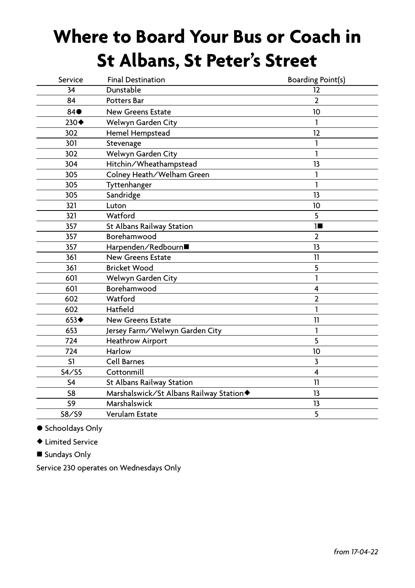## **Where to Board Your Bus or Coach in St Albans, St Peter's Street**

| Service             | <b>Final Destination</b>                | Boarding Point(s)       |
|---------------------|-----------------------------------------|-------------------------|
| 34                  | Dunstable                               | 12                      |
| 84                  | <b>Potters Bar</b>                      | $\overline{2}$          |
| $84 \bullet$        | <b>New Greens Estate</b>                | 10                      |
| $230 \blacklozenge$ | Welwyn Garden City                      | 1                       |
| 302                 | Hemel Hempstead                         | 12                      |
| 301                 | Stevenage                               | 1                       |
| 302                 | Welwyn Garden City                      | 1                       |
| 304                 | Hitchin/Wheathampstead                  | 13                      |
| 305                 | Colney Heath/Welham Green               | 1                       |
| 305                 | Tyttenhanger                            | 1                       |
| 305                 | Sandridge                               | 13                      |
| 321                 | Luton                                   | 10                      |
| 321                 | Watford                                 | 5                       |
| 357                 | St Albans Railway Station               | 18                      |
| 357                 | Borehamwood                             | $\overline{2}$          |
| 357                 | Harpenden/Redbourn■                     | 13                      |
| 361                 | <b>New Greens Estate</b>                | 11                      |
| 361                 | <b>Bricket Wood</b>                     | 5                       |
| 601                 | Welwyn Garden City                      | 1                       |
| 601                 | Borehamwood                             | 4                       |
| 602                 | Watford                                 | $\overline{2}$          |
| 602                 | Hatfield                                | 1                       |
| $653 \triangleleft$ | <b>New Greens Estate</b>                | 11                      |
| 653                 | Jersey Farm/Welwyn Garden City          | 1                       |
| 724                 | <b>Heathrow Airport</b>                 | 5                       |
| 724                 | Harlow                                  | 10                      |
| S1                  | <b>Cell Barnes</b>                      | $\overline{\mathbf{3}}$ |
| S4/S5               | Cottonmill                              | 4                       |
| S <sub>4</sub>      | St Albans Railway Station               | 11                      |
| S8                  | Marshalswick/St Albans Railway Station◆ | 13                      |
| S <sub>9</sub>      | Marshalswick                            | 13                      |
| S8/S9               | Verulam Estate                          | 5                       |
|                     |                                         |                         |

● Schooldays Only

♦ Limited Service

■ Sundays Only

Service 230 operates on Wednesdays Only